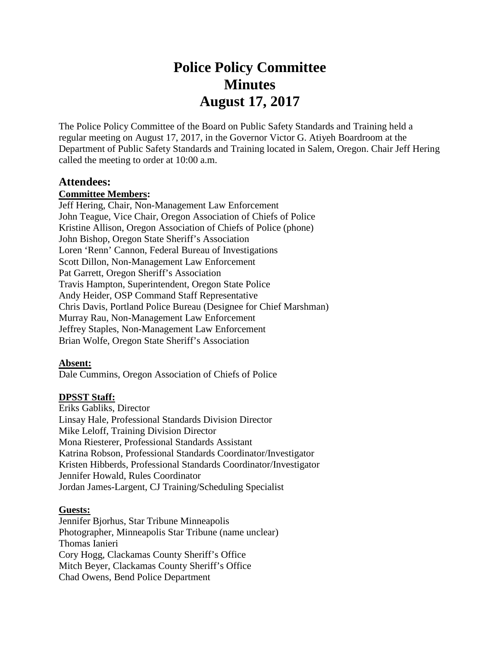# **Police Policy Committee Minutes August 17, 2017**

The Police Policy Committee of the Board on Public Safety Standards and Training held a regular meeting on August 17, 2017, in the Governor Victor G. Atiyeh Boardroom at the Department of Public Safety Standards and Training located in Salem, Oregon. Chair Jeff Hering called the meeting to order at 10:00 a.m.

#### **Attendees:**

#### **Committee Members:**

Jeff Hering, Chair, Non-Management Law Enforcement John Teague, Vice Chair, Oregon Association of Chiefs of Police Kristine Allison, Oregon Association of Chiefs of Police (phone) John Bishop, Oregon State Sheriff's Association Loren 'Renn' Cannon, Federal Bureau of Investigations Scott Dillon, Non-Management Law Enforcement Pat Garrett, Oregon Sheriff's Association Travis Hampton, Superintendent, Oregon State Police Andy Heider, OSP Command Staff Representative Chris Davis, Portland Police Bureau (Designee for Chief Marshman) Murray Rau, Non-Management Law Enforcement Jeffrey Staples, Non-Management Law Enforcement Brian Wolfe, Oregon State Sheriff's Association

#### **Absent:**

Dale Cummins, Oregon Association of Chiefs of Police

#### **DPSST Staff:**

Eriks Gabliks, Director Linsay Hale, Professional Standards Division Director Mike Leloff, Training Division Director Mona Riesterer, Professional Standards Assistant Katrina Robson, Professional Standards Coordinator/Investigator Kristen Hibberds, Professional Standards Coordinator/Investigator Jennifer Howald, Rules Coordinator Jordan James-Largent, CJ Training/Scheduling Specialist

#### **Guests:**

Jennifer Bjorhus, Star Tribune Minneapolis Photographer, Minneapolis Star Tribune (name unclear) Thomas Ianieri Cory Hogg, Clackamas County Sheriff's Office Mitch Beyer, Clackamas County Sheriff's Office Chad Owens, Bend Police Department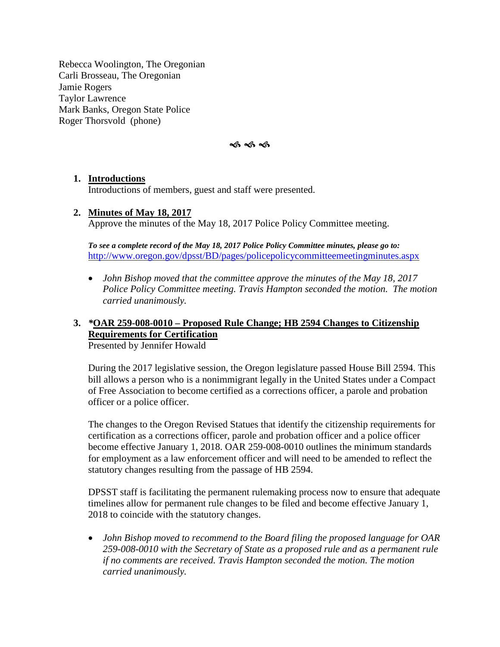Rebecca Woolington, The Oregonian Carli Brosseau, The Oregonian Jamie Rogers Taylor Lawrence Mark Banks, Oregon State Police Roger Thorsvold (phone)



#### **1. Introductions**

Introductions of members, guest and staff were presented.

#### **2. Minutes of May 18, 2017**

Approve the minutes of the May 18, 2017 Police Policy Committee meeting.

*To see a complete record of the May 18, 2017 Police Policy Committee minutes, please go to:* <http://www.oregon.gov/dpsst/BD/pages/policepolicycommitteemeetingminutes.aspx>

• *John Bishop moved that the committee approve the minutes of the May 18, 2017 Police Policy Committee meeting. Travis Hampton seconded the motion. The motion carried unanimously.*

#### **3.** *\****OAR 259-008-0010 – Proposed Rule Change; HB 2594 Changes to Citizenship Requirements for Certification**  Presented by Jennifer Howald

During the 2017 legislative session, the Oregon legislature passed House Bill 2594. This bill allows a person who is a nonimmigrant legally in the United States under a Compact of Free Association to become certified as a corrections officer, a parole and probation officer or a police officer.

The changes to the Oregon Revised Statues that identify the citizenship requirements for certification as a corrections officer, parole and probation officer and a police officer become effective January 1, 2018. OAR 259-008-0010 outlines the minimum standards for employment as a law enforcement officer and will need to be amended to reflect the statutory changes resulting from the passage of HB 2594.

DPSST staff is facilitating the permanent rulemaking process now to ensure that adequate timelines allow for permanent rule changes to be filed and become effective January 1, 2018 to coincide with the statutory changes.

• *John Bishop moved to recommend to the Board filing the proposed language for OAR 259-008-0010 with the Secretary of State as a proposed rule and as a permanent rule if no comments are received. Travis Hampton seconded the motion. The motion carried unanimously.*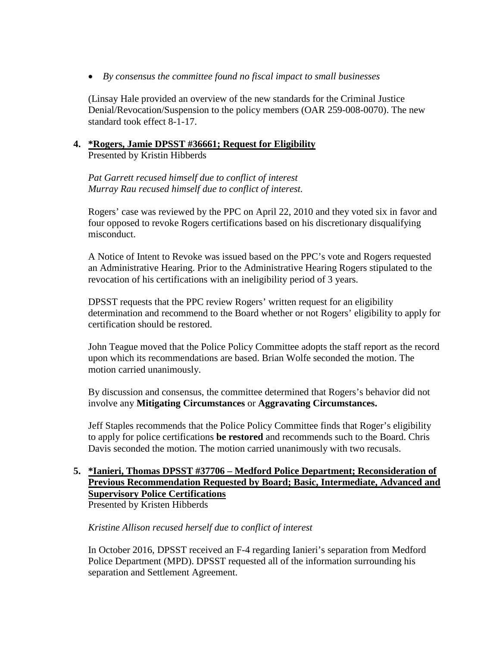• *By consensus the committee found no fiscal impact to small businesses*

(Linsay Hale provided an overview of the new standards for the Criminal Justice Denial/Revocation/Suspension to the policy members (OAR 259-008-0070). The new standard took effect 8-1-17.

#### **4. \*Rogers, Jamie DPSST #36661; Request for Eligibility** Presented by Kristin Hibberds

*Pat Garrett recused himself due to conflict of interest Murray Rau recused himself due to conflict of interest.* 

Rogers' case was reviewed by the PPC on April 22, 2010 and they voted six in favor and four opposed to revoke Rogers certifications based on his discretionary disqualifying misconduct.

A Notice of Intent to Revoke was issued based on the PPC's vote and Rogers requested an Administrative Hearing. Prior to the Administrative Hearing Rogers stipulated to the revocation of his certifications with an ineligibility period of 3 years.

DPSST requests that the PPC review Rogers' written request for an eligibility determination and recommend to the Board whether or not Rogers' eligibility to apply for certification should be restored.

John Teague moved that the Police Policy Committee adopts the staff report as the record upon which its recommendations are based. Brian Wolfe seconded the motion. The motion carried unanimously.

By discussion and consensus, the committee determined that Rogers's behavior did not involve any **Mitigating Circumstances** or **Aggravating Circumstances.** 

Jeff Staples recommends that the Police Policy Committee finds that Roger's eligibility to apply for police certifications **be restored** and recommends such to the Board. Chris Davis seconded the motion. The motion carried unanimously with two recusals.

# **5. \*Ianieri, Thomas DPSST #37706 – Medford Police Department; Reconsideration of Previous Recommendation Requested by Board; Basic, Intermediate, Advanced and Supervisory Police Certifications**

Presented by Kristen Hibberds

#### *Kristine Allison recused herself due to conflict of interest*

In October 2016, DPSST received an F-4 regarding Ianieri's separation from Medford Police Department (MPD). DPSST requested all of the information surrounding his separation and Settlement Agreement.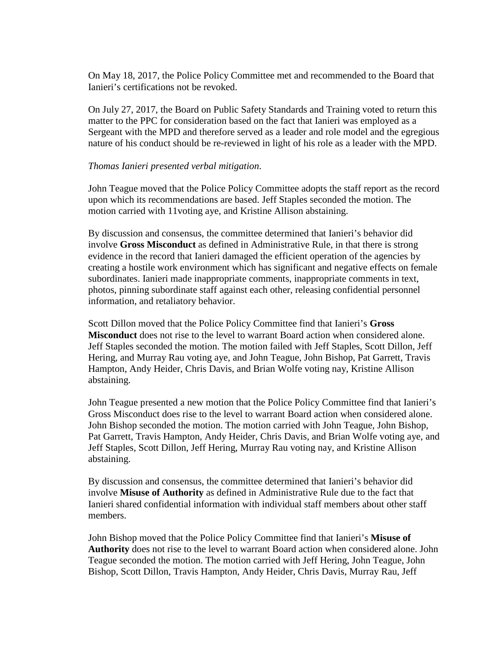On May 18, 2017, the Police Policy Committee met and recommended to the Board that Ianieri's certifications not be revoked.

On July 27, 2017, the Board on Public Safety Standards and Training voted to return this matter to the PPC for consideration based on the fact that Ianieri was employed as a Sergeant with the MPD and therefore served as a leader and role model and the egregious nature of his conduct should be re-reviewed in light of his role as a leader with the MPD.

#### *Thomas Ianieri presented verbal mitigation*.

John Teague moved that the Police Policy Committee adopts the staff report as the record upon which its recommendations are based. Jeff Staples seconded the motion. The motion carried with 11voting aye, and Kristine Allison abstaining.

By discussion and consensus, the committee determined that Ianieri's behavior did involve **Gross Misconduct** as defined in Administrative Rule, in that there is strong evidence in the record that Ianieri damaged the efficient operation of the agencies by creating a hostile work environment which has significant and negative effects on female subordinates. Ianieri made inappropriate comments, inappropriate comments in text, photos, pinning subordinate staff against each other, releasing confidential personnel information, and retaliatory behavior.

Scott Dillon moved that the Police Policy Committee find that Ianieri's **Gross Misconduct** does not rise to the level to warrant Board action when considered alone. Jeff Staples seconded the motion. The motion failed with Jeff Staples, Scott Dillon, Jeff Hering, and Murray Rau voting aye, and John Teague, John Bishop, Pat Garrett, Travis Hampton, Andy Heider, Chris Davis, and Brian Wolfe voting nay, Kristine Allison abstaining.

John Teague presented a new motion that the Police Policy Committee find that Ianieri's Gross Misconduct does rise to the level to warrant Board action when considered alone. John Bishop seconded the motion. The motion carried with John Teague, John Bishop, Pat Garrett, Travis Hampton, Andy Heider, Chris Davis, and Brian Wolfe voting aye, and Jeff Staples, Scott Dillon, Jeff Hering, Murray Rau voting nay, and Kristine Allison abstaining.

By discussion and consensus, the committee determined that Ianieri's behavior did involve **Misuse of Authority** as defined in Administrative Rule due to the fact that Ianieri shared confidential information with individual staff members about other staff members.

John Bishop moved that the Police Policy Committee find that Ianieri's **Misuse of Authority** does not rise to the level to warrant Board action when considered alone. John Teague seconded the motion. The motion carried with Jeff Hering, John Teague, John Bishop, Scott Dillon, Travis Hampton, Andy Heider, Chris Davis, Murray Rau, Jeff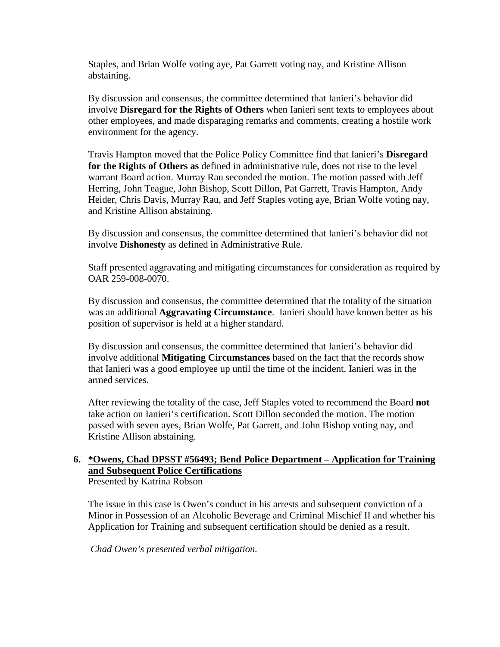Staples, and Brian Wolfe voting aye, Pat Garrett voting nay, and Kristine Allison abstaining.

By discussion and consensus, the committee determined that Ianieri's behavior did involve **Disregard for the Rights of Others** when Ianieri sent texts to employees about other employees, and made disparaging remarks and comments, creating a hostile work environment for the agency.

Travis Hampton moved that the Police Policy Committee find that Ianieri's **Disregard for the Rights of Others as** defined in administrative rule, does not rise to the level warrant Board action. Murray Rau seconded the motion. The motion passed with Jeff Herring, John Teague, John Bishop, Scott Dillon, Pat Garrett, Travis Hampton, Andy Heider, Chris Davis, Murray Rau, and Jeff Staples voting aye, Brian Wolfe voting nay, and Kristine Allison abstaining.

By discussion and consensus, the committee determined that Ianieri's behavior did not involve **Dishonesty** as defined in Administrative Rule.

Staff presented aggravating and mitigating circumstances for consideration as required by OAR 259-008-0070.

By discussion and consensus, the committee determined that the totality of the situation was an additional **Aggravating Circumstance**. Ianieri should have known better as his position of supervisor is held at a higher standard.

By discussion and consensus, the committee determined that Ianieri's behavior did involve additional **Mitigating Circumstances** based on the fact that the records show that Ianieri was a good employee up until the time of the incident. Ianieri was in the armed services.

After reviewing the totality of the case, Jeff Staples voted to recommend the Board **not** take action on Ianieri's certification. Scott Dillon seconded the motion. The motion passed with seven ayes, Brian Wolfe, Pat Garrett, and John Bishop voting nay, and Kristine Allison abstaining.

# **6. \*Owens, Chad DPSST #56493; Bend Police Department – Application for Training and Subsequent Police Certifications**

Presented by Katrina Robson

The issue in this case is Owen's conduct in his arrests and subsequent conviction of a Minor in Possession of an Alcoholic Beverage and Criminal Mischief II and whether his Application for Training and subsequent certification should be denied as a result.

*Chad Owen's presented verbal mitigation.*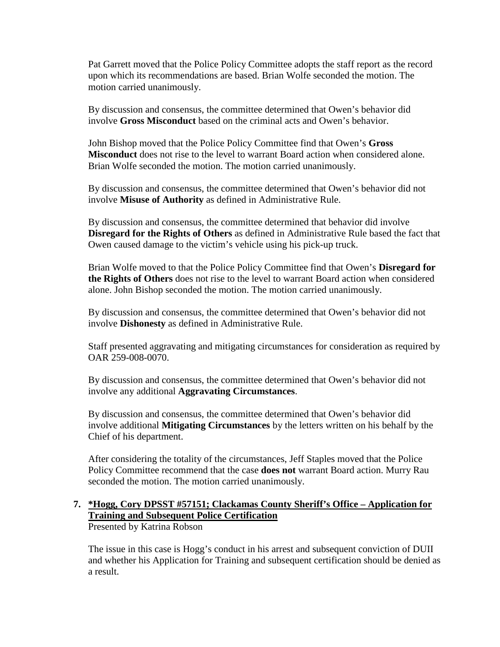Pat Garrett moved that the Police Policy Committee adopts the staff report as the record upon which its recommendations are based. Brian Wolfe seconded the motion. The motion carried unanimously.

By discussion and consensus, the committee determined that Owen's behavior did involve **Gross Misconduct** based on the criminal acts and Owen's behavior.

John Bishop moved that the Police Policy Committee find that Owen's **Gross Misconduct** does not rise to the level to warrant Board action when considered alone. Brian Wolfe seconded the motion. The motion carried unanimously.

By discussion and consensus, the committee determined that Owen's behavior did not involve **Misuse of Authority** as defined in Administrative Rule.

By discussion and consensus, the committee determined that behavior did involve **Disregard for the Rights of Others** as defined in Administrative Rule based the fact that Owen caused damage to the victim's vehicle using his pick-up truck.

Brian Wolfe moved to that the Police Policy Committee find that Owen's **Disregard for the Rights of Others** does not rise to the level to warrant Board action when considered alone. John Bishop seconded the motion. The motion carried unanimously.

By discussion and consensus, the committee determined that Owen's behavior did not involve **Dishonesty** as defined in Administrative Rule.

Staff presented aggravating and mitigating circumstances for consideration as required by OAR 259-008-0070.

By discussion and consensus, the committee determined that Owen's behavior did not involve any additional **Aggravating Circumstances**.

By discussion and consensus, the committee determined that Owen's behavior did involve additional **Mitigating Circumstances** by the letters written on his behalf by the Chief of his department.

After considering the totality of the circumstances, Jeff Staples moved that the Police Policy Committee recommend that the case **does not** warrant Board action. Murry Rau seconded the motion. The motion carried unanimously.

### **7. \*Hogg, Cory DPSST #57151; Clackamas County Sheriff's Office – Application for Training and Subsequent Police Certification**

Presented by Katrina Robson

The issue in this case is Hogg's conduct in his arrest and subsequent conviction of DUII and whether his Application for Training and subsequent certification should be denied as a result.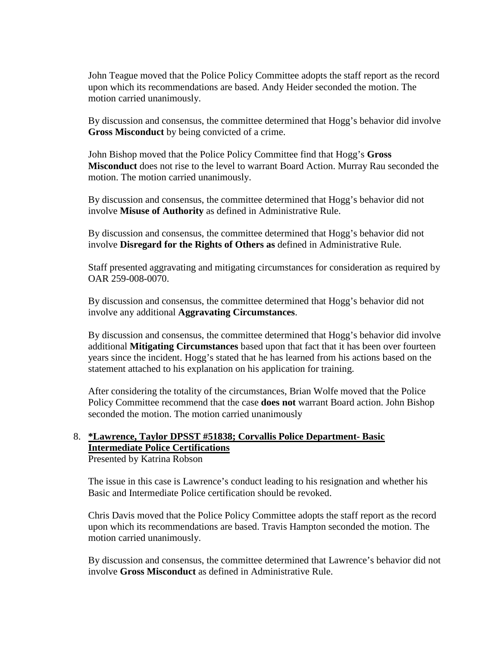John Teague moved that the Police Policy Committee adopts the staff report as the record upon which its recommendations are based. Andy Heider seconded the motion. The motion carried unanimously.

By discussion and consensus, the committee determined that Hogg's behavior did involve **Gross Misconduct** by being convicted of a crime.

John Bishop moved that the Police Policy Committee find that Hogg's **Gross Misconduct** does not rise to the level to warrant Board Action. Murray Rau seconded the motion. The motion carried unanimously.

By discussion and consensus, the committee determined that Hogg's behavior did not involve **Misuse of Authority** as defined in Administrative Rule.

By discussion and consensus, the committee determined that Hogg's behavior did not involve **Disregard for the Rights of Others as** defined in Administrative Rule.

Staff presented aggravating and mitigating circumstances for consideration as required by OAR 259-008-0070.

By discussion and consensus, the committee determined that Hogg's behavior did not involve any additional **Aggravating Circumstances**.

By discussion and consensus, the committee determined that Hogg's behavior did involve additional **Mitigating Circumstances** based upon that fact that it has been over fourteen years since the incident. Hogg's stated that he has learned from his actions based on the statement attached to his explanation on his application for training.

After considering the totality of the circumstances, Brian Wolfe moved that the Police Policy Committee recommend that the case **does not** warrant Board action. John Bishop seconded the motion. The motion carried unanimously

#### 8. **\*Lawrence, Taylor DPSST #51838; Corvallis Police Department- Basic Intermediate Police Certifications** Presented by Katrina Robson

The issue in this case is Lawrence's conduct leading to his resignation and whether his Basic and Intermediate Police certification should be revoked.

Chris Davis moved that the Police Policy Committee adopts the staff report as the record upon which its recommendations are based. Travis Hampton seconded the motion. The motion carried unanimously.

By discussion and consensus, the committee determined that Lawrence's behavior did not involve **Gross Misconduct** as defined in Administrative Rule.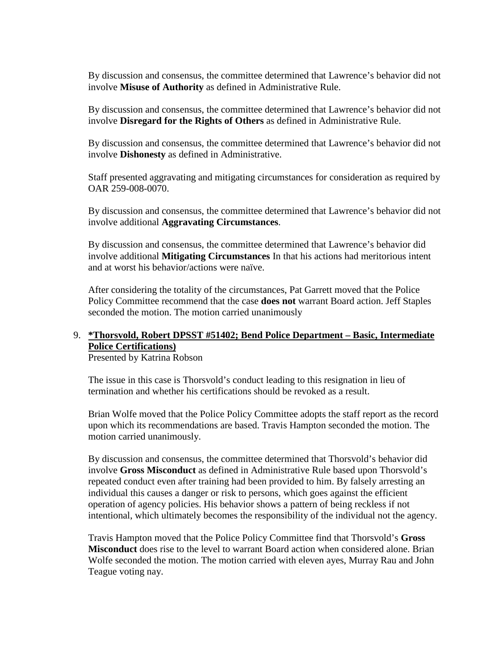By discussion and consensus, the committee determined that Lawrence's behavior did not involve **Misuse of Authority** as defined in Administrative Rule.

By discussion and consensus, the committee determined that Lawrence's behavior did not involve **Disregard for the Rights of Others** as defined in Administrative Rule.

By discussion and consensus, the committee determined that Lawrence's behavior did not involve **Dishonesty** as defined in Administrative.

Staff presented aggravating and mitigating circumstances for consideration as required by OAR 259-008-0070.

By discussion and consensus, the committee determined that Lawrence's behavior did not involve additional **Aggravating Circumstances**.

By discussion and consensus, the committee determined that Lawrence's behavior did involve additional **Mitigating Circumstances** In that his actions had meritorious intent and at worst his behavior/actions were naïve.

After considering the totality of the circumstances, Pat Garrett moved that the Police Policy Committee recommend that the case **does not** warrant Board action. Jeff Staples seconded the motion. The motion carried unanimously

### 9. **\*Thorsvold, Robert DPSST #51402; Bend Police Department – Basic, Intermediate Police Certifications)**

Presented by Katrina Robson

The issue in this case is Thorsvold's conduct leading to this resignation in lieu of termination and whether his certifications should be revoked as a result.

Brian Wolfe moved that the Police Policy Committee adopts the staff report as the record upon which its recommendations are based. Travis Hampton seconded the motion. The motion carried unanimously.

By discussion and consensus, the committee determined that Thorsvold's behavior did involve **Gross Misconduct** as defined in Administrative Rule based upon Thorsvold's repeated conduct even after training had been provided to him. By falsely arresting an individual this causes a danger or risk to persons, which goes against the efficient operation of agency policies. His behavior shows a pattern of being reckless if not intentional, which ultimately becomes the responsibility of the individual not the agency.

Travis Hampton moved that the Police Policy Committee find that Thorsvold's **Gross Misconduct** does rise to the level to warrant Board action when considered alone. Brian Wolfe seconded the motion. The motion carried with eleven ayes, Murray Rau and John Teague voting nay.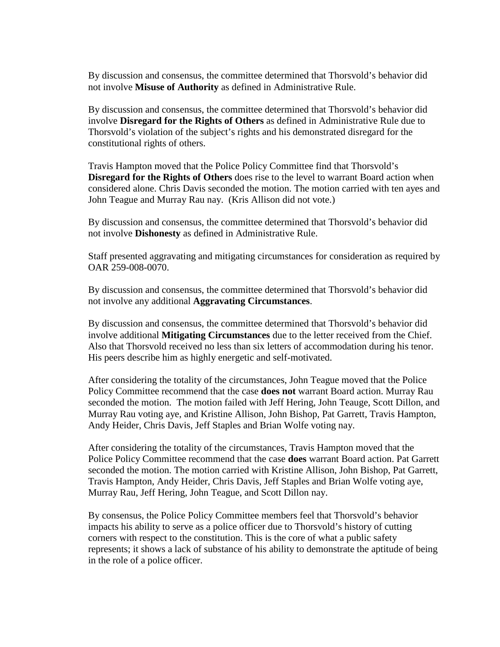By discussion and consensus, the committee determined that Thorsvold's behavior did not involve **Misuse of Authority** as defined in Administrative Rule.

By discussion and consensus, the committee determined that Thorsvold's behavior did involve **Disregard for the Rights of Others** as defined in Administrative Rule due to Thorsvold's violation of the subject's rights and his demonstrated disregard for the constitutional rights of others.

Travis Hampton moved that the Police Policy Committee find that Thorsvold's **Disregard for the Rights of Others** does rise to the level to warrant Board action when considered alone. Chris Davis seconded the motion. The motion carried with ten ayes and John Teague and Murray Rau nay. (Kris Allison did not vote.)

By discussion and consensus, the committee determined that Thorsvold's behavior did not involve **Dishonesty** as defined in Administrative Rule.

Staff presented aggravating and mitigating circumstances for consideration as required by OAR 259-008-0070.

By discussion and consensus, the committee determined that Thorsvold's behavior did not involve any additional **Aggravating Circumstances**.

By discussion and consensus, the committee determined that Thorsvold's behavior did involve additional **Mitigating Circumstances** due to the letter received from the Chief. Also that Thorsvold received no less than six letters of accommodation during his tenor. His peers describe him as highly energetic and self-motivated.

After considering the totality of the circumstances, John Teague moved that the Police Policy Committee recommend that the case **does not** warrant Board action. Murray Rau seconded the motion. The motion failed with Jeff Hering, John Teauge, Scott Dillon, and Murray Rau voting aye, and Kristine Allison, John Bishop, Pat Garrett, Travis Hampton, Andy Heider, Chris Davis, Jeff Staples and Brian Wolfe voting nay.

After considering the totality of the circumstances, Travis Hampton moved that the Police Policy Committee recommend that the case **does** warrant Board action. Pat Garrett seconded the motion. The motion carried with Kristine Allison, John Bishop, Pat Garrett, Travis Hampton, Andy Heider, Chris Davis, Jeff Staples and Brian Wolfe voting aye, Murray Rau, Jeff Hering, John Teague, and Scott Dillon nay.

By consensus, the Police Policy Committee members feel that Thorsvold's behavior impacts his ability to serve as a police officer due to Thorsvold's history of cutting corners with respect to the constitution. This is the core of what a public safety represents; it shows a lack of substance of his ability to demonstrate the aptitude of being in the role of a police officer.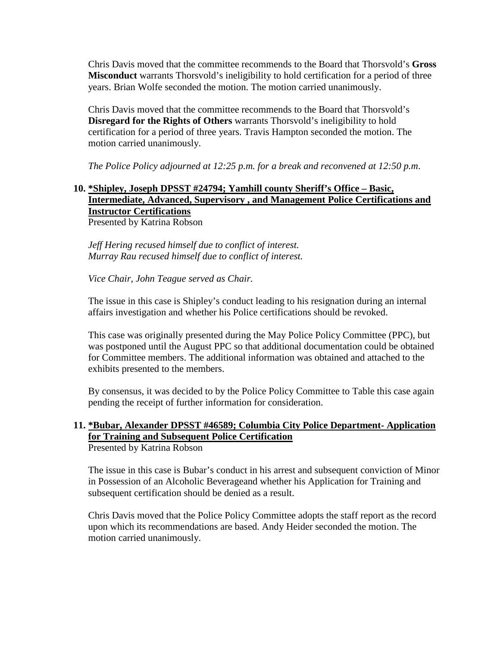Chris Davis moved that the committee recommends to the Board that Thorsvold's **Gross Misconduct** warrants Thorsvold's ineligibility to hold certification for a period of three years. Brian Wolfe seconded the motion. The motion carried unanimously.

Chris Davis moved that the committee recommends to the Board that Thorsvold's **Disregard for the Rights of Others** warrants Thorsvold's ineligibility to hold certification for a period of three years. Travis Hampton seconded the motion. The motion carried unanimously.

*The Police Policy adjourned at 12:25 p.m. for a break and reconvened at 12:50 p.m*.

# **10. \*Shipley, Joseph DPSST #24794; Yamhill county Sheriff's Office – Basic, Intermediate, Advanced, Supervisory , and Management Police Certifications and Instructor Certifications**

Presented by Katrina Robson

*Jeff Hering recused himself due to conflict of interest. Murray Rau recused himself due to conflict of interest.* 

*Vice Chair, John Teague served as Chair.*

The issue in this case is Shipley's conduct leading to his resignation during an internal affairs investigation and whether his Police certifications should be revoked.

This case was originally presented during the May Police Policy Committee (PPC), but was postponed until the August PPC so that additional documentation could be obtained for Committee members. The additional information was obtained and attached to the exhibits presented to the members.

By consensus, it was decided to by the Police Policy Committee to Table this case again pending the receipt of further information for consideration.

# **11. \*Bubar, Alexander DPSST #46589; Columbia City Police Department- Application for Training and Subsequent Police Certification**

Presented by Katrina Robson

The issue in this case is Bubar's conduct in his arrest and subsequent conviction of Minor in Possession of an Alcoholic Beverageand whether his Application for Training and subsequent certification should be denied as a result.

Chris Davis moved that the Police Policy Committee adopts the staff report as the record upon which its recommendations are based. Andy Heider seconded the motion. The motion carried unanimously.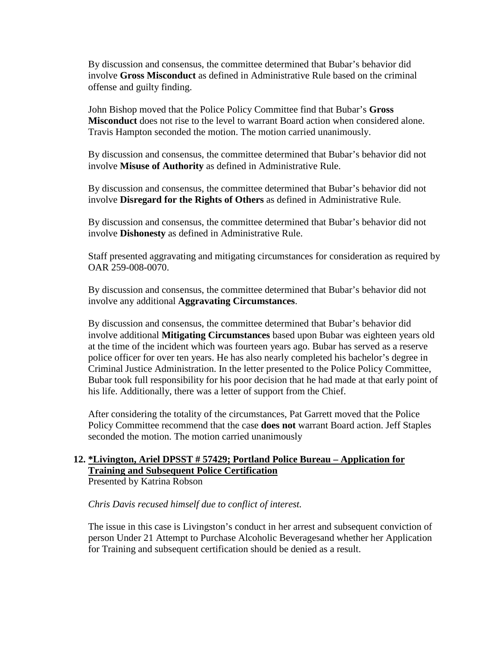By discussion and consensus, the committee determined that Bubar's behavior did involve **Gross Misconduct** as defined in Administrative Rule based on the criminal offense and guilty finding.

John Bishop moved that the Police Policy Committee find that Bubar's **Gross Misconduct** does not rise to the level to warrant Board action when considered alone. Travis Hampton seconded the motion. The motion carried unanimously.

By discussion and consensus, the committee determined that Bubar's behavior did not involve **Misuse of Authority** as defined in Administrative Rule.

By discussion and consensus, the committee determined that Bubar's behavior did not involve **Disregard for the Rights of Others** as defined in Administrative Rule.

By discussion and consensus, the committee determined that Bubar's behavior did not involve **Dishonesty** as defined in Administrative Rule.

Staff presented aggravating and mitigating circumstances for consideration as required by OAR 259-008-0070.

By discussion and consensus, the committee determined that Bubar's behavior did not involve any additional **Aggravating Circumstances**.

By discussion and consensus, the committee determined that Bubar's behavior did involve additional **Mitigating Circumstances** based upon Bubar was eighteen years old at the time of the incident which was fourteen years ago. Bubar has served as a reserve police officer for over ten years. He has also nearly completed his bachelor's degree in Criminal Justice Administration. In the letter presented to the Police Policy Committee, Bubar took full responsibility for his poor decision that he had made at that early point of his life. Additionally, there was a letter of support from the Chief.

After considering the totality of the circumstances, Pat Garrett moved that the Police Policy Committee recommend that the case **does not** warrant Board action. Jeff Staples seconded the motion. The motion carried unanimously

# **12. \*Livington, Ariel DPSST # 57429; Portland Police Bureau – Application for Training and Subsequent Police Certification**

Presented by Katrina Robson

#### *Chris Davis recused himself due to conflict of interest.*

The issue in this case is Livingston's conduct in her arrest and subsequent conviction of person Under 21 Attempt to Purchase Alcoholic Beveragesand whether her Application for Training and subsequent certification should be denied as a result.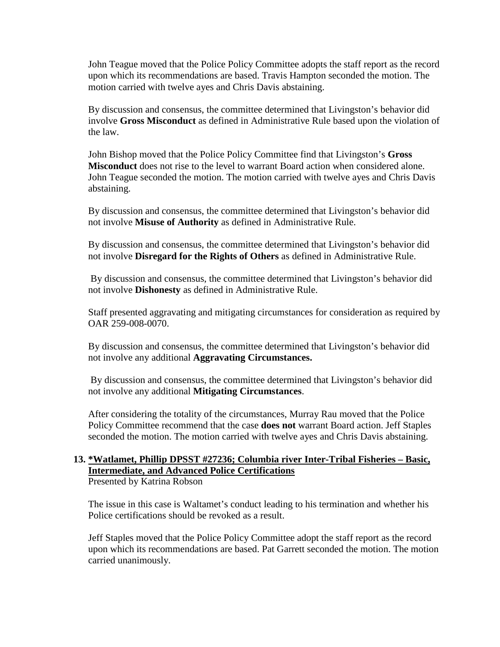John Teague moved that the Police Policy Committee adopts the staff report as the record upon which its recommendations are based. Travis Hampton seconded the motion. The motion carried with twelve ayes and Chris Davis abstaining.

By discussion and consensus, the committee determined that Livingston's behavior did involve **Gross Misconduct** as defined in Administrative Rule based upon the violation of the law.

John Bishop moved that the Police Policy Committee find that Livingston's **Gross Misconduct** does not rise to the level to warrant Board action when considered alone. John Teague seconded the motion. The motion carried with twelve ayes and Chris Davis abstaining.

By discussion and consensus, the committee determined that Livingston's behavior did not involve **Misuse of Authority** as defined in Administrative Rule.

By discussion and consensus, the committee determined that Livingston's behavior did not involve **Disregard for the Rights of Others** as defined in Administrative Rule.

By discussion and consensus, the committee determined that Livingston's behavior did not involve **Dishonesty** as defined in Administrative Rule.

Staff presented aggravating and mitigating circumstances for consideration as required by OAR 259-008-0070.

By discussion and consensus, the committee determined that Livingston's behavior did not involve any additional **Aggravating Circumstances.** 

By discussion and consensus, the committee determined that Livingston's behavior did not involve any additional **Mitigating Circumstances**.

After considering the totality of the circumstances, Murray Rau moved that the Police Policy Committee recommend that the case **does not** warrant Board action. Jeff Staples seconded the motion. The motion carried with twelve ayes and Chris Davis abstaining.

# **13. \*Watlamet, Phillip DPSST #27236; Columbia river Inter-Tribal Fisheries – Basic, Intermediate, and Advanced Police Certifications**

Presented by Katrina Robson

The issue in this case is Waltamet's conduct leading to his termination and whether his Police certifications should be revoked as a result.

Jeff Staples moved that the Police Policy Committee adopt the staff report as the record upon which its recommendations are based. Pat Garrett seconded the motion. The motion carried unanimously.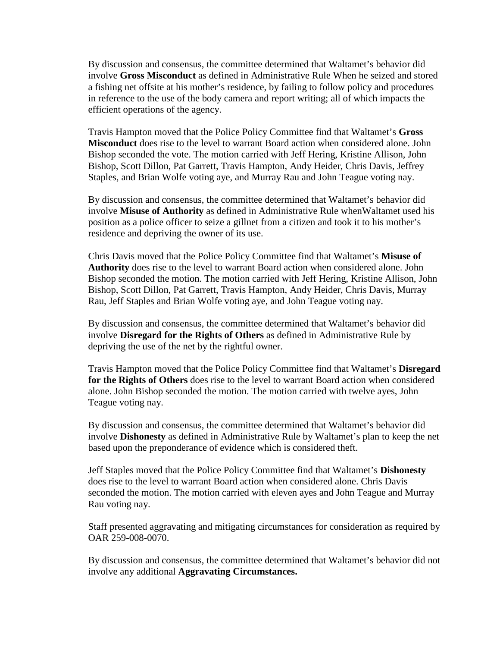By discussion and consensus, the committee determined that Waltamet's behavior did involve **Gross Misconduct** as defined in Administrative Rule When he seized and stored a fishing net offsite at his mother's residence, by failing to follow policy and procedures in reference to the use of the body camera and report writing; all of which impacts the efficient operations of the agency.

Travis Hampton moved that the Police Policy Committee find that Waltamet's **Gross Misconduct** does rise to the level to warrant Board action when considered alone. John Bishop seconded the vote. The motion carried with Jeff Hering, Kristine Allison, John Bishop, Scott Dillon, Pat Garrett, Travis Hampton, Andy Heider, Chris Davis, Jeffrey Staples, and Brian Wolfe voting aye, and Murray Rau and John Teague voting nay.

By discussion and consensus, the committee determined that Waltamet's behavior did involve **Misuse of Authority** as defined in Administrative Rule whenWaltamet used his position as a police officer to seize a gillnet from a citizen and took it to his mother's residence and depriving the owner of its use.

Chris Davis moved that the Police Policy Committee find that Waltamet's **Misuse of Authority** does rise to the level to warrant Board action when considered alone. John Bishop seconded the motion. The motion carried with Jeff Hering, Kristine Allison, John Bishop, Scott Dillon, Pat Garrett, Travis Hampton, Andy Heider, Chris Davis, Murray Rau, Jeff Staples and Brian Wolfe voting aye, and John Teague voting nay.

By discussion and consensus, the committee determined that Waltamet's behavior did involve **Disregard for the Rights of Others** as defined in Administrative Rule by depriving the use of the net by the rightful owner.

Travis Hampton moved that the Police Policy Committee find that Waltamet's **Disregard for the Rights of Others** does rise to the level to warrant Board action when considered alone. John Bishop seconded the motion. The motion carried with twelve ayes, John Teague voting nay.

By discussion and consensus, the committee determined that Waltamet's behavior did involve **Dishonesty** as defined in Administrative Rule by Waltamet's plan to keep the net based upon the preponderance of evidence which is considered theft.

Jeff Staples moved that the Police Policy Committee find that Waltamet's **Dishonesty**  does rise to the level to warrant Board action when considered alone. Chris Davis seconded the motion. The motion carried with eleven ayes and John Teague and Murray Rau voting nay.

Staff presented aggravating and mitigating circumstances for consideration as required by OAR 259-008-0070.

By discussion and consensus, the committee determined that Waltamet's behavior did not involve any additional **Aggravating Circumstances.**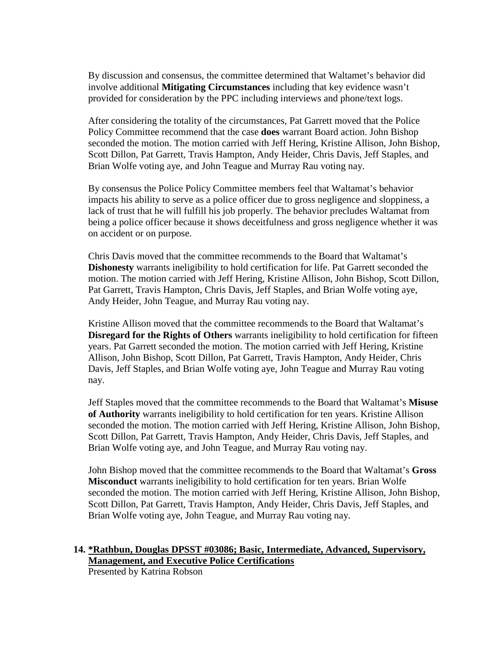By discussion and consensus, the committee determined that Waltamet's behavior did involve additional **Mitigating Circumstances** including that key evidence wasn't provided for consideration by the PPC including interviews and phone/text logs.

After considering the totality of the circumstances, Pat Garrett moved that the Police Policy Committee recommend that the case **does** warrant Board action. John Bishop seconded the motion. The motion carried with Jeff Hering, Kristine Allison, John Bishop, Scott Dillon, Pat Garrett, Travis Hampton, Andy Heider, Chris Davis, Jeff Staples, and Brian Wolfe voting aye, and John Teague and Murray Rau voting nay.

By consensus the Police Policy Committee members feel that Waltamat's behavior impacts his ability to serve as a police officer due to gross negligence and sloppiness, a lack of trust that he will fulfill his job properly. The behavior precludes Waltamat from being a police officer because it shows deceitfulness and gross negligence whether it was on accident or on purpose.

Chris Davis moved that the committee recommends to the Board that Waltamat's **Dishonesty** warrants ineligibility to hold certification for life. Pat Garrett seconded the motion. The motion carried with Jeff Hering, Kristine Allison, John Bishop, Scott Dillon, Pat Garrett, Travis Hampton, Chris Davis, Jeff Staples, and Brian Wolfe voting aye, Andy Heider, John Teague, and Murray Rau voting nay.

Kristine Allison moved that the committee recommends to the Board that Waltamat's **Disregard for the Rights of Others** warrants ineligibility to hold certification for fifteen years. Pat Garrett seconded the motion. The motion carried with Jeff Hering, Kristine Allison, John Bishop, Scott Dillon, Pat Garrett, Travis Hampton, Andy Heider, Chris Davis, Jeff Staples, and Brian Wolfe voting aye, John Teague and Murray Rau voting nay.

Jeff Staples moved that the committee recommends to the Board that Waltamat's **Misuse of Authority** warrants ineligibility to hold certification for ten years. Kristine Allison seconded the motion. The motion carried with Jeff Hering, Kristine Allison, John Bishop, Scott Dillon, Pat Garrett, Travis Hampton, Andy Heider, Chris Davis, Jeff Staples, and Brian Wolfe voting aye, and John Teague, and Murray Rau voting nay.

John Bishop moved that the committee recommends to the Board that Waltamat's **Gross Misconduct** warrants ineligibility to hold certification for ten years. Brian Wolfe seconded the motion. The motion carried with Jeff Hering, Kristine Allison, John Bishop, Scott Dillon, Pat Garrett, Travis Hampton, Andy Heider, Chris Davis, Jeff Staples, and Brian Wolfe voting aye, John Teague, and Murray Rau voting nay.

#### **14. \*Rathbun, Douglas DPSST #03086; Basic, Intermediate, Advanced, Supervisory, Management, and Executive Police Certifications**

Presented by Katrina Robson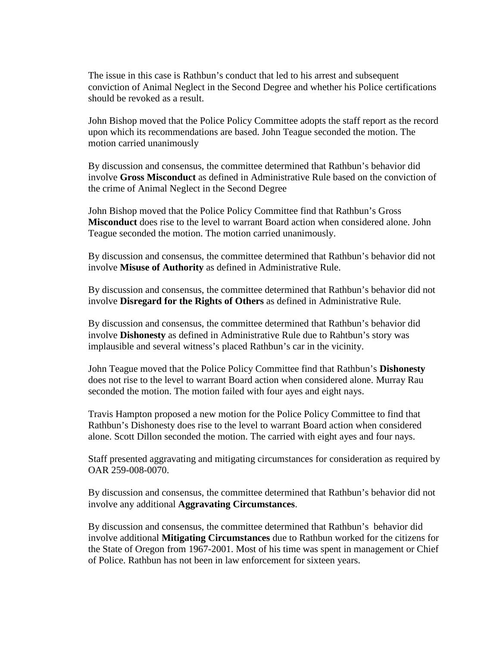The issue in this case is Rathbun's conduct that led to his arrest and subsequent conviction of Animal Neglect in the Second Degree and whether his Police certifications should be revoked as a result.

John Bishop moved that the Police Policy Committee adopts the staff report as the record upon which its recommendations are based. John Teague seconded the motion. The motion carried unanimously

By discussion and consensus, the committee determined that Rathbun's behavior did involve **Gross Misconduct** as defined in Administrative Rule based on the conviction of the crime of Animal Neglect in the Second Degree

John Bishop moved that the Police Policy Committee find that Rathbun's Gross **Misconduct** does rise to the level to warrant Board action when considered alone. John Teague seconded the motion. The motion carried unanimously.

By discussion and consensus, the committee determined that Rathbun's behavior did not involve **Misuse of Authority** as defined in Administrative Rule.

By discussion and consensus, the committee determined that Rathbun's behavior did not involve **Disregard for the Rights of Others** as defined in Administrative Rule.

By discussion and consensus, the committee determined that Rathbun's behavior did involve **Dishonesty** as defined in Administrative Rule due to Rahtbun's story was implausible and several witness's placed Rathbun's car in the vicinity.

John Teague moved that the Police Policy Committee find that Rathbun's **Dishonesty**  does not rise to the level to warrant Board action when considered alone. Murray Rau seconded the motion. The motion failed with four ayes and eight nays.

Travis Hampton proposed a new motion for the Police Policy Committee to find that Rathbun's Dishonesty does rise to the level to warrant Board action when considered alone. Scott Dillon seconded the motion. The carried with eight ayes and four nays.

Staff presented aggravating and mitigating circumstances for consideration as required by OAR 259-008-0070.

By discussion and consensus, the committee determined that Rathbun's behavior did not involve any additional **Aggravating Circumstances**.

By discussion and consensus, the committee determined that Rathbun's behavior did involve additional **Mitigating Circumstances** due to Rathbun worked for the citizens for the State of Oregon from 1967-2001. Most of his time was spent in management or Chief of Police. Rathbun has not been in law enforcement for sixteen years.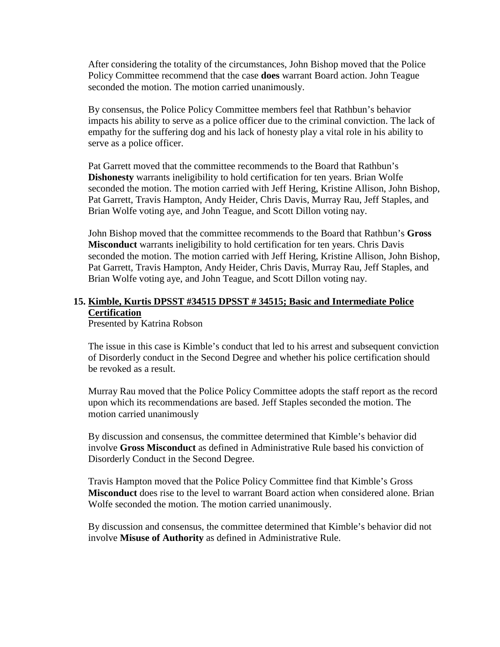After considering the totality of the circumstances, John Bishop moved that the Police Policy Committee recommend that the case **does** warrant Board action. John Teague seconded the motion. The motion carried unanimously.

By consensus, the Police Policy Committee members feel that Rathbun's behavior impacts his ability to serve as a police officer due to the criminal conviction. The lack of empathy for the suffering dog and his lack of honesty play a vital role in his ability to serve as a police officer.

Pat Garrett moved that the committee recommends to the Board that Rathbun's **Dishonesty** warrants ineligibility to hold certification for ten years. Brian Wolfe seconded the motion. The motion carried with Jeff Hering, Kristine Allison, John Bishop, Pat Garrett, Travis Hampton, Andy Heider, Chris Davis, Murray Rau, Jeff Staples, and Brian Wolfe voting aye, and John Teague, and Scott Dillon voting nay.

John Bishop moved that the committee recommends to the Board that Rathbun's **Gross Misconduct** warrants ineligibility to hold certification for ten years. Chris Davis seconded the motion. The motion carried with Jeff Hering, Kristine Allison, John Bishop, Pat Garrett, Travis Hampton, Andy Heider, Chris Davis, Murray Rau, Jeff Staples, and Brian Wolfe voting aye, and John Teague, and Scott Dillon voting nay.

### **15. Kimble, Kurtis DPSST #34515 DPSST # 34515; Basic and Intermediate Police Certification**

Presented by Katrina Robson

The issue in this case is Kimble's conduct that led to his arrest and subsequent conviction of Disorderly conduct in the Second Degree and whether his police certification should be revoked as a result.

Murray Rau moved that the Police Policy Committee adopts the staff report as the record upon which its recommendations are based. Jeff Staples seconded the motion. The motion carried unanimously

By discussion and consensus, the committee determined that Kimble's behavior did involve **Gross Misconduct** as defined in Administrative Rule based his conviction of Disorderly Conduct in the Second Degree.

Travis Hampton moved that the Police Policy Committee find that Kimble's Gross **Misconduct** does rise to the level to warrant Board action when considered alone. Brian Wolfe seconded the motion. The motion carried unanimously.

By discussion and consensus, the committee determined that Kimble's behavior did not involve **Misuse of Authority** as defined in Administrative Rule.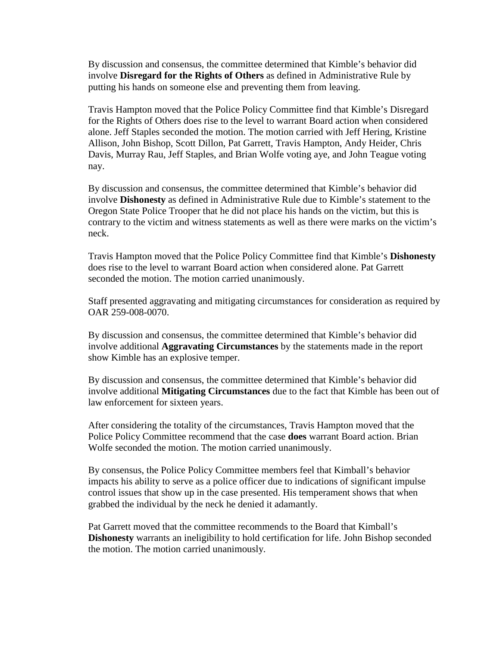By discussion and consensus, the committee determined that Kimble's behavior did involve **Disregard for the Rights of Others** as defined in Administrative Rule by putting his hands on someone else and preventing them from leaving.

Travis Hampton moved that the Police Policy Committee find that Kimble's Disregard for the Rights of Others does rise to the level to warrant Board action when considered alone. Jeff Staples seconded the motion. The motion carried with Jeff Hering, Kristine Allison, John Bishop, Scott Dillon, Pat Garrett, Travis Hampton, Andy Heider, Chris Davis, Murray Rau, Jeff Staples, and Brian Wolfe voting aye, and John Teague voting nay.

By discussion and consensus, the committee determined that Kimble's behavior did involve **Dishonesty** as defined in Administrative Rule due to Kimble's statement to the Oregon State Police Trooper that he did not place his hands on the victim, but this is contrary to the victim and witness statements as well as there were marks on the victim's neck.

Travis Hampton moved that the Police Policy Committee find that Kimble's **Dishonesty**  does rise to the level to warrant Board action when considered alone. Pat Garrett seconded the motion. The motion carried unanimously.

Staff presented aggravating and mitigating circumstances for consideration as required by OAR 259-008-0070.

By discussion and consensus, the committee determined that Kimble's behavior did involve additional **Aggravating Circumstances** by the statements made in the report show Kimble has an explosive temper.

By discussion and consensus, the committee determined that Kimble's behavior did involve additional **Mitigating Circumstances** due to the fact that Kimble has been out of law enforcement for sixteen years.

After considering the totality of the circumstances, Travis Hampton moved that the Police Policy Committee recommend that the case **does** warrant Board action. Brian Wolfe seconded the motion. The motion carried unanimously.

By consensus, the Police Policy Committee members feel that Kimball's behavior impacts his ability to serve as a police officer due to indications of significant impulse control issues that show up in the case presented. His temperament shows that when grabbed the individual by the neck he denied it adamantly.

Pat Garrett moved that the committee recommends to the Board that Kimball's **Dishonesty** warrants an ineligibility to hold certification for life. John Bishop seconded the motion. The motion carried unanimously.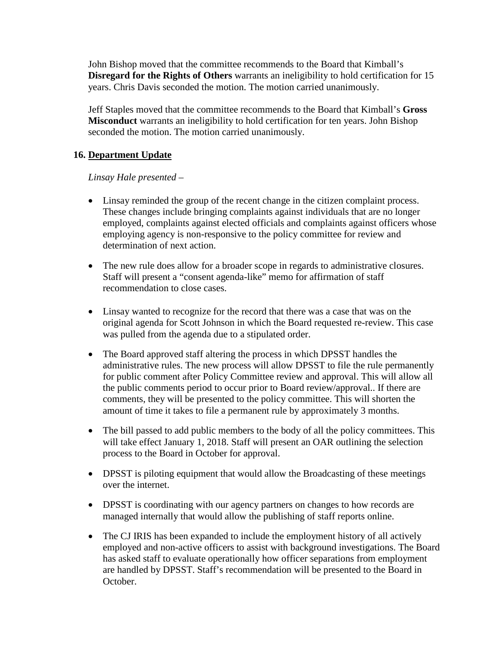John Bishop moved that the committee recommends to the Board that Kimball's **Disregard for the Rights of Others** warrants an ineligibility to hold certification for 15 years. Chris Davis seconded the motion. The motion carried unanimously.

Jeff Staples moved that the committee recommends to the Board that Kimball's **Gross Misconduct** warrants an ineligibility to hold certification for ten years. John Bishop seconded the motion. The motion carried unanimously.

### **16. Department Update**

### *Linsay Hale presented –*

- Linsay reminded the group of the recent change in the citizen complaint process. These changes include bringing complaints against individuals that are no longer employed, complaints against elected officials and complaints against officers whose employing agency is non-responsive to the policy committee for review and determination of next action.
- The new rule does allow for a broader scope in regards to administrative closures. Staff will present a "consent agenda-like" memo for affirmation of staff recommendation to close cases.
- Linsay wanted to recognize for the record that there was a case that was on the original agenda for Scott Johnson in which the Board requested re-review. This case was pulled from the agenda due to a stipulated order.
- The Board approved staff altering the process in which DPSST handles the administrative rules. The new process will allow DPSST to file the rule permanently for public comment after Policy Committee review and approval. This will allow all the public comments period to occur prior to Board review/approval.. If there are comments, they will be presented to the policy committee. This will shorten the amount of time it takes to file a permanent rule by approximately 3 months.
- The bill passed to add public members to the body of all the policy committees. This will take effect January 1, 2018. Staff will present an OAR outlining the selection process to the Board in October for approval.
- DPSST is piloting equipment that would allow the Broadcasting of these meetings over the internet.
- DPSST is coordinating with our agency partners on changes to how records are managed internally that would allow the publishing of staff reports online.
- The CJ IRIS has been expanded to include the employment history of all actively employed and non-active officers to assist with background investigations. The Board has asked staff to evaluate operationally how officer separations from employment are handled by DPSST. Staff's recommendation will be presented to the Board in October.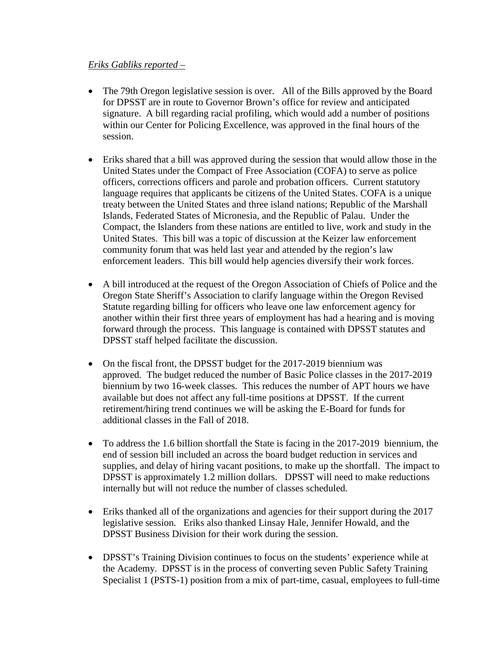#### *Eriks Gabliks reported –*

- The 79th Oregon legislative session is over. All of the Bills approved by the Board for DPSST are in route to Governor Brown's office for review and anticipated signature. A bill regarding racial profiling, which would add a number of positions within our Center for Policing Excellence, was approved in the final hours of the session.
- Eriks shared that a bill was approved during the session that would allow those in the United States under the Compact of Free Association (COFA) to serve as police officers, corrections officers and parole and probation officers. Current statutory language requires that applicants be citizens of the United States. COFA is a unique treaty between the United States and three island nations; Republic of the Marshall Islands, Federated States of Micronesia, and the Republic of Palau. Under the Compact, the Islanders from these nations are entitled to live, work and study in the United States. This bill was a topic of discussion at the Keizer law enforcement community forum that was held last year and attended by the region's law enforcement leaders. This bill would help agencies diversify their work forces.
- A bill introduced at the request of the Oregon Association of Chiefs of Police and the Oregon State Sheriff's Association to clarify language within the Oregon Revised Statute regarding billing for officers who leave one law enforcement agency for another within their first three years of employment has had a hearing and is moving forward through the process. This language is contained with DPSST statutes and DPSST staff helped facilitate the discussion.
- On the fiscal front, the DPSST budget for the 2017-2019 biennium was approved. The budget reduced the number of Basic Police classes in the 2017-2019 biennium by two 16-week classes. This reduces the number of APT hours we have available but does not affect any full-time positions at DPSST. If the current retirement/hiring trend continues we will be asking the E-Board for funds for additional classes in the Fall of 2018.
- To address the 1.6 billion shortfall the State is facing in the 2017-2019 biennium, the end of session bill included an across the board budget reduction in services and supplies, and delay of hiring vacant positions, to make up the shortfall. The impact to DPSST is approximately 1.2 million dollars. DPSST will need to make reductions internally but will not reduce the number of classes scheduled.
- Eriks thanked all of the organizations and agencies for their support during the 2017 legislative session. Eriks also thanked Linsay Hale, Jennifer Howald, and the DPSST Business Division for their work during the session.
- DPSST's Training Division continues to focus on the students' experience while at the Academy. DPSST is in the process of converting seven Public Safety Training Specialist 1 (PSTS-1) position from a mix of part-time, casual, employees to full-time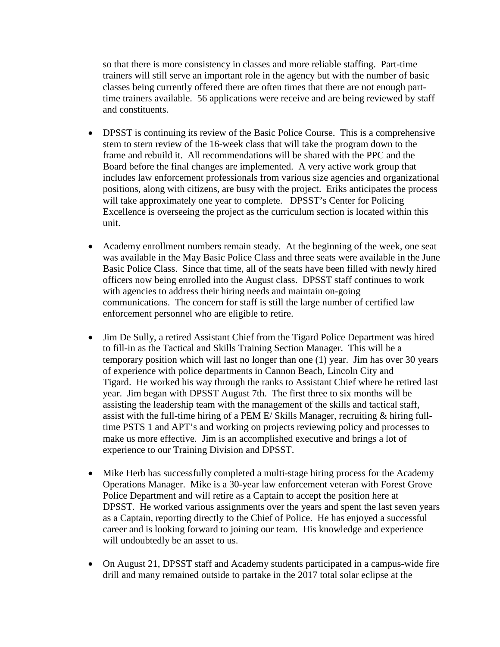so that there is more consistency in classes and more reliable staffing. Part-time trainers will still serve an important role in the agency but with the number of basic classes being currently offered there are often times that there are not enough parttime trainers available. 56 applications were receive and are being reviewed by staff and constituents.

- DPSST is continuing its review of the Basic Police Course. This is a comprehensive stem to stern review of the 16-week class that will take the program down to the frame and rebuild it. All recommendations will be shared with the PPC and the Board before the final changes are implemented. A very active work group that includes law enforcement professionals from various size agencies and organizational positions, along with citizens, are busy with the project. Eriks anticipates the process will take approximately one year to complete. DPSST's Center for Policing Excellence is overseeing the project as the curriculum section is located within this unit.
- Academy enrollment numbers remain steady. At the beginning of the week, one seat was available in the May Basic Police Class and three seats were available in the June Basic Police Class. Since that time, all of the seats have been filled with newly hired officers now being enrolled into the August class. DPSST staff continues to work with agencies to address their hiring needs and maintain on-going communications. The concern for staff is still the large number of certified law enforcement personnel who are eligible to retire.
- Jim De Sully, a retired Assistant Chief from the Tigard Police Department was hired to fill-in as the Tactical and Skills Training Section Manager. This will be a temporary position which will last no longer than one (1) year. Jim has over 30 years of experience with police departments in Cannon Beach, Lincoln City and Tigard. He worked his way through the ranks to Assistant Chief where he retired last year. Jim began with DPSST August 7th. The first three to six months will be assisting the leadership team with the management of the skills and tactical staff, assist with the full-time hiring of a PEM E/ Skills Manager, recruiting & hiring fulltime PSTS 1 and APT's and working on projects reviewing policy and processes to make us more effective. Jim is an accomplished executive and brings a lot of experience to our Training Division and DPSST.
- Mike Herb has successfully completed a multi-stage hiring process for the Academy Operations Manager. Mike is a 30-year law enforcement veteran with Forest Grove Police Department and will retire as a Captain to accept the position here at DPSST. He worked various assignments over the years and spent the last seven years as a Captain, reporting directly to the Chief of Police. He has enjoyed a successful career and is looking forward to joining our team. His knowledge and experience will undoubtedly be an asset to us.
- On August 21, DPSST staff and Academy students participated in a campus-wide fire drill and many remained outside to partake in the 2017 total solar eclipse at the